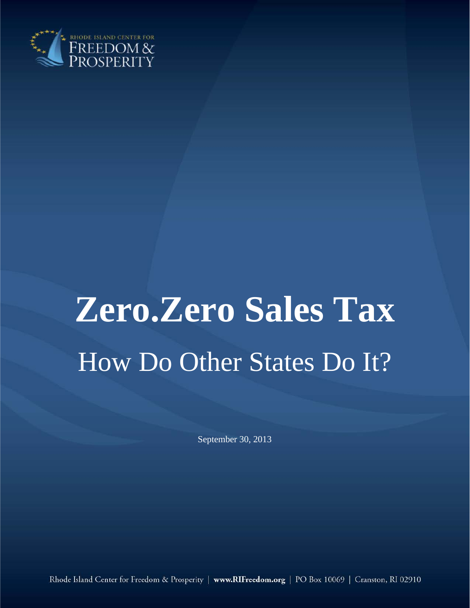

# **Zero.Zero Sales Tax** How Do Other States Do It?

September 30, 2013

Rhode Island Center for Freedom & Prosperity | www.RIFreedom.org | PO Box 10069 | Cranston, RI 02910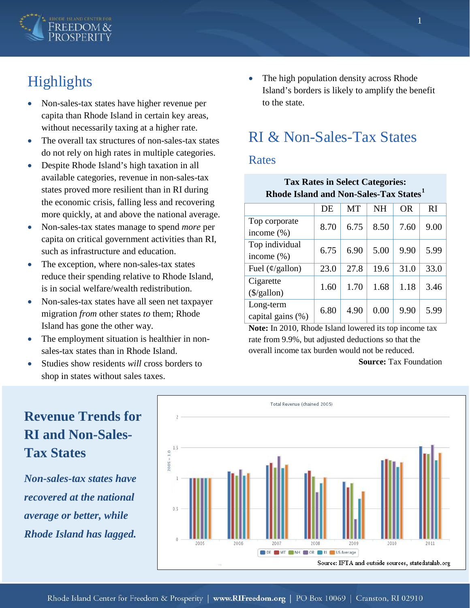

# Highlights

- Non-sales-tax states have higher revenue per capita than Rhode Island in certain key areas, without necessarily taxing at a higher rate.
- The overall tax structures of non-sales-tax states do not rely on high rates in multiple categories.
- Despite Rhode Island's high taxation in all available categories, revenue in non-sales-tax states proved more resilient than in RI during the economic crisis, falling less and recovering more quickly, at and above the national average.
- Non-sales-tax states manage to spend *more* per capita on critical government activities than RI, such as infrastructure and education.
- The exception, where non-sales-tax states reduce their spending relative to Rhode Island, is in social welfare/wealth redistribution.
- Non-sales-tax states have all seen net taxpayer migration *from* other states *to* them; Rhode Island has gone the other way.
- The employment situation is healthier in nonsales-tax states than in Rhode Island.
- Studies show residents *will* cross borders to shop in states without sales taxes.

### • The high population density across Rhode Island's borders is likely to amplify the benefit to the state.

# RI & Non-Sales-Tax States

#### Rates

| <b>Tax Rates in Select Categories:</b><br>Rhode Island and Non-Sales-Tax States <sup>1</sup> |      |           |           |      |                |
|----------------------------------------------------------------------------------------------|------|-----------|-----------|------|----------------|
|                                                                                              | DE   | <b>MT</b> | <b>NH</b> | OR.  | R <sub>I</sub> |
| Top corporate<br>income $(\% )$                                                              | 8.70 | 6.75      | 8.50      | 7.60 | 9.00           |
| Top individual<br>income $(\% )$                                                             | 6.75 | 6.90      | 5.00      | 9.90 | 5.99           |
| Fuel $(\phi$ /gallon)                                                                        | 23.0 | 27.8      | 19.6      | 31.0 | 33.0           |
| Cigarette<br>$(\frac{1}{2}$ /gallon)                                                         | 1.60 | 1.70      | 1.68      | 1.18 | 3.46           |
| Long-term<br>capital gains $(\%)$                                                            | 6.80 | 4.90      | 0.00      | 9.90 | 5.99           |

**Note:** In 2010, Rhode Island lowered its top income tax rate from 9.9%, but adjusted deductions so that the overall income tax burden would not be reduced.

**Source:** Tax Foundation

## Total Revenue (chained 2005) **Revenue Trends for RI and Non-Sales-Tax States**  $2005 = 1.0$ *Non-sales-tax states have recovered at the national*   $0.5$ *average or better, while Rhode Island has lagged.*

DE MT NH OR N RI US Average Source: IFTA and outside sources, statedatalab.org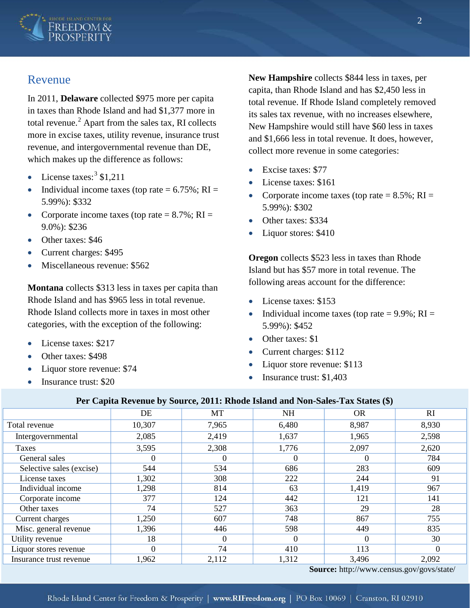

#### Revenue

In 2011, **Delaware** collected \$975 more per capita in taxes than Rhode Island and had \$1,377 more in total revenue. $^{2}$  $^{2}$  $^{2}$  Apart from the sales tax, RI collects more in excise taxes, utility revenue, insurance trust revenue, and intergovernmental revenue than DE, which makes up the difference as follows:

- License taxes:  $3 \text{ } $1,211$  $3 \text{ } $1,211$
- Individual income taxes (top rate  $= 6.75\%$ ; RI  $=$ 5.99%): \$332
- Corporate income taxes (top rate  $= 8.7\%$ ; RI  $=$ 9.0%): \$236
- Other taxes: \$46
- Current charges: \$495
- Miscellaneous revenue: \$562

**Montana** collects \$313 less in taxes per capita than Rhode Island and has \$965 less in total revenue. Rhode Island collects more in taxes in most other categories, with the exception of the following:

- License taxes: \$217
- Other taxes: \$498
- Liquor store revenue: \$74
- Insurance trust: \$20

**New Hampshire** collects \$844 less in taxes, per capita, than Rhode Island and has \$2,450 less in total revenue. If Rhode Island completely removed its sales tax revenue, with no increases elsewhere, New Hampshire would still have \$60 less in taxes and \$1,666 less in total revenue. It does, however, collect more revenue in some categories:

- Excise taxes: \$77
- License taxes: \$161
- Corporate income taxes (top rate  $= 8.5\%$ ; RI  $=$ 5.99%): \$302
- Other taxes: \$334
- Liquor stores: \$410

**Oregon** collects \$523 less in taxes than Rhode Island but has \$57 more in total revenue. The following areas account for the difference:

- License taxes: \$153
- Individual income taxes (top rate  $= 9.9\%$ ; RI  $=$ 5.99%): \$452
- Other taxes: \$1
- Current charges: \$112
- Liquor store revenue: \$113
- Insurance trust: \$1,403

#### **Per Capita Revenue by Source, 2011: Rhode Island and Non-Sales-Tax States (\$)**

|                          | DE             | MT       | <b>NH</b> | <b>OR</b> | RI       |
|--------------------------|----------------|----------|-----------|-----------|----------|
| Total revenue            | 10,307         | 7,965    | 6,480     | 8,987     | 8,930    |
| Intergovernmental        | 2,085          | 2,419    | 1,637     | 1,965     | 2,598    |
| Taxes                    | 3,595          | 2,308    | 1,776     | 2,097     | 2,620    |
| General sales            | $\theta$       | $\Omega$ | $\Omega$  | $\Omega$  | 784      |
| Selective sales (excise) | 544            | 534      | 686       | 283       | 609      |
| License taxes            | 1,302          | 308      | 222       | 244       | 91       |
| Individual income        | 1,298          | 814      | 63        | 1,419     | 967      |
| Corporate income         | 377            | 124      | 442       | 121       | 141      |
| Other taxes              | 74             | 527      | 363       | 29        | 28       |
| Current charges          | 1,250          | 607      | 748       | 867       | 755      |
| Misc. general revenue    | 1,396          | 446      | 598       | 449       | 835      |
| Utility revenue          | 18             | $\Omega$ | $\Omega$  | $\Omega$  | 30       |
| Liquor stores revenue    | $\overline{0}$ | 74       | 410       | 113       | $\Omega$ |
| Insurance trust revenue  | 1,962          | 2,112    | 1,312     | 3,496     | 2,092    |

**Source:** http://www.census.gov/govs/state/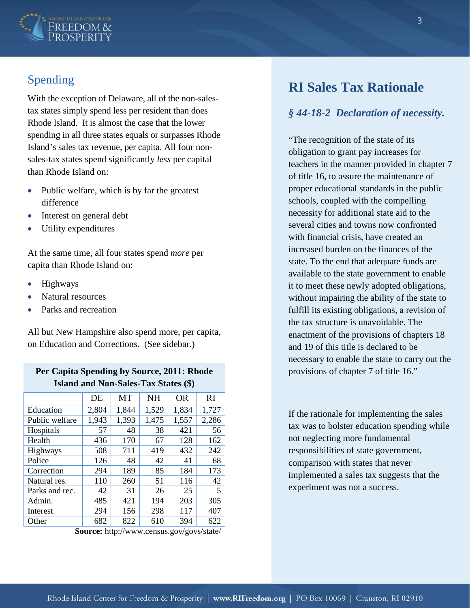

## Spending

With the exception of Delaware, all of the non-salestax states simply spend less per resident than does Rhode Island. It is almost the case that the lower spending in all three states equals or surpasses Rhode Island's sales tax revenue, per capita. All four nonsales-tax states spend significantly *less* per capital than Rhode Island on:

- Public welfare, which is by far the greatest difference
- Interest on general debt
- Utility expenditures

At the same time, all four states spend *more* per capita than Rhode Island on:

- Highways
- Natural resources
- Parks and recreation

All but New Hampshire also spend more, per capita, on Education and Corrections. (See sidebar.)

#### **Per Capita Spending by Source, 2011: Rhode Island and Non-Sales-Tax States (\$)**

|                | DE    | <b>MT</b> | <b>NH</b> | <b>OR</b> | RI    |
|----------------|-------|-----------|-----------|-----------|-------|
| Education      | 2,804 | 1,844     | 1,529     | 1,834     | 1,727 |
| Public welfare | 1,943 | 1,393     | 1,475     | 1,557     | 2,286 |
| Hospitals      | 57    | 48        | 38        | 421       | 56    |
| Health         | 436   | 170       | 67        | 128       | 162   |
| Highways       | 508   | 711       | 419       | 432       | 242   |
| Police         | 126   | 48        | 42        | 41        | 68    |
| Correction     | 294   | 189       | 85        | 184       | 173   |
| Natural res.   | 110   | 260       | 51        | 116       | 42    |
| Parks and rec. | 42    | 31        | 26        | 25        | 5     |
| Admin.         | 485   | 421       | 194       | 203       | 305   |
| Interest       | 294   | 156       | 298       | 117       | 407   |
| Other          | 682   | 822       | 610       | 394       | 622   |

**Source:** http://www.census.gov/govs/state/

## **RI Sales Tax Rationale**

#### *§ 44-18-2 Declaration of necessity.*

"The recognition of the state of its obligation to grant pay increases for teachers in the manner provided in chapter 7 of title 16, to assure the maintenance of proper educational standards in the public schools, coupled with the compelling necessity for additional state aid to the several cities and towns now confronted with financial crisis, have created an increased burden on the finances of the state. To the end that adequate funds are available to the state government to enable it to meet these newly adopted obligations, without impairing the ability of the state to fulfill its existing obligations, a revision of the tax structure is unavoidable. The enactment of the provisions of chapters 18 and 19 of this title is declared to be necessary to enable the state to carry out the provisions of chapter 7 of title 16."

If the rationale for implementing the sales tax was to bolster education spending while not neglecting more fundamental responsibilities of state government, comparison with states that never implemented a sales tax suggests that the experiment was not a success.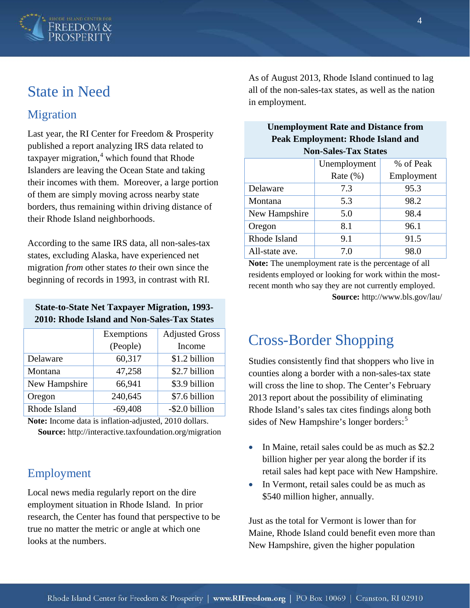

# State in Need

## Migration

Last year, the RI Center for Freedom & Prosperity published a report analyzing IRS data related to taxpayer migration, $4$  which found that Rhode Islanders are leaving the Ocean State and taking their incomes with them. Moreover, a large portion of them are simply moving across nearby state borders, thus remaining within driving distance of their Rhode Island neighborhoods.

According to the same IRS data, all non-sales-tax states, excluding Alaska, have experienced net migration *from* other states *to* their own since the beginning of records in 1993, in contrast with RI.

#### **State-to-State Net Taxpayer Migration, 1993- 2010: Rhode Island and Non-Sales-Tax States**

|               | Exemptions | <b>Adjusted Gross</b> |  |
|---------------|------------|-----------------------|--|
|               | (People)   | Income                |  |
| Delaware      | 60,317     | \$1.2 billion         |  |
| Montana       | 47,258     | \$2.7 billion         |  |
| New Hampshire | 66,941     | \$3.9 billion         |  |
| Oregon        | 240,645    | \$7.6 billion         |  |
| Rhode Island  | $-69,408$  | -\$2.0 billion        |  |

**Note:** Income data is inflation-adjusted, 2010 dollars. **Source:** http://interactive.taxfoundation.org/migration

## Employment

Local news media regularly report on the dire employment situation in Rhode Island. In prior research, the Center has found that perspective to be true no matter the metric or angle at which one looks at the numbers.

As of August 2013, Rhode Island continued to lag all of the non-sales-tax states, as well as the nation in employment.

| <b>Unemployment Rate and Distance from</b> |
|--------------------------------------------|
| <b>Peak Employment: Rhode Island and</b>   |
| <b>Non-Sales-Tax States</b>                |

|                | Unemployment | % of Peak  |  |
|----------------|--------------|------------|--|
|                | Rate $(\% )$ | Employment |  |
| Delaware       | 7.3          | 95.3       |  |
| Montana        | 5.3          | 98.2       |  |
| New Hampshire  | 5.0          | 98.4       |  |
| Oregon         | 8.1          | 96.1       |  |
| Rhode Island   | 9.1          | 91.5       |  |
| All-state ave. | 7.0          | 98.0       |  |

**Note:** The unemployment rate is the percentage of all residents employed or looking for work within the mostrecent month who say they are not currently employed. **Source:** http://www.bls.gov/lau/

# Cross-Border Shopping

Studies consistently find that shoppers who live in counties along a border with a non-sales-tax state will cross the line to shop. The Center's February 2013 report about the possibility of eliminating Rhode Island's sales tax cites findings along both sides of New Hampshire's longer borders:<sup>[5](#page-5-4)</sup>

- In Maine, retail sales could be as much as \$2.2 billion higher per year along the border if its retail sales had kept pace with New Hampshire.
- In Vermont, retail sales could be as much as \$540 million higher, annually.

Just as the total for Vermont is lower than for Maine, Rhode Island could benefit even more than New Hampshire, given the higher population